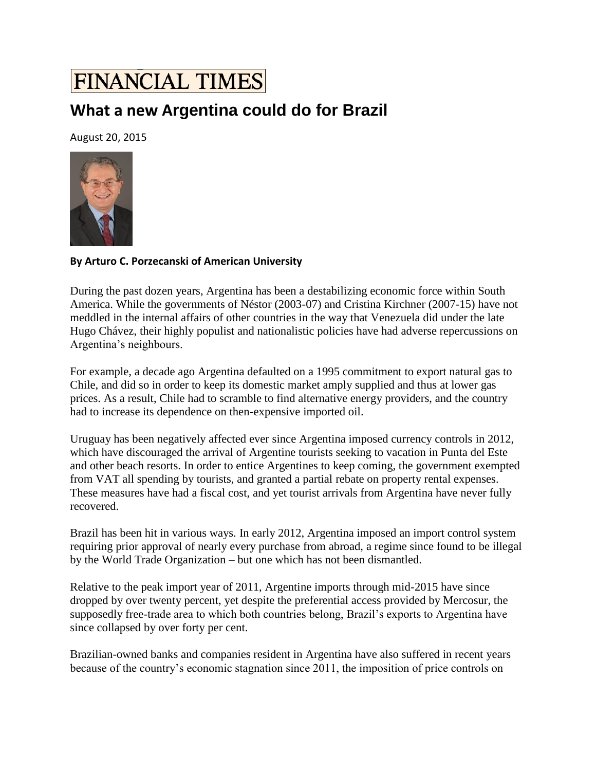## **FINANCIAL TIMES**

## **What a new Argentina could do for Brazil**

August 20, 2015



## **By Arturo C. Porzecanski of American University**

During the past dozen years, Argentina has been a destabilizing economic force within South America. While the governments of Néstor (2003-07) and Cristina Kirchner (2007-15) have not meddled in the internal affairs of other countries in the way that Venezuela did under the late Hugo Chávez, their highly populist and nationalistic policies have had adverse repercussions on Argentina's neighbours.

For example, a decade ago Argentina defaulted on a 1995 commitment to export natural gas to Chile, and did so in order to keep its domestic market amply supplied and thus at lower gas prices. As a result, Chile had to scramble to find alternative energy providers, and the country had to increase its dependence on then-expensive imported oil.

Uruguay has been negatively affected ever since Argentina imposed currency controls in 2012, which have discouraged the arrival of Argentine tourists seeking to vacation in Punta del Este and other beach resorts. In order to entice Argentines to keep coming, the government exempted from VAT all spending by tourists, and granted a partial rebate on property rental expenses. These measures have had a fiscal cost, and yet tourist arrivals from Argentina have never fully recovered.

Brazil has been hit in various ways. In early 2012, Argentina imposed an import control system requiring prior approval of nearly every purchase from abroad, a regime since found to be illegal by the World Trade Organization – but one which has not been dismantled.

Relative to the peak import year of 2011, Argentine imports through mid-2015 have since dropped by over twenty percent, yet despite the preferential access provided by Mercosur, the supposedly free-trade area to which both countries belong, Brazil's exports to Argentina have since collapsed by over forty per cent.

Brazilian-owned banks and companies resident in Argentina have also suffered in recent years because of the country's economic stagnation since 2011, the imposition of price controls on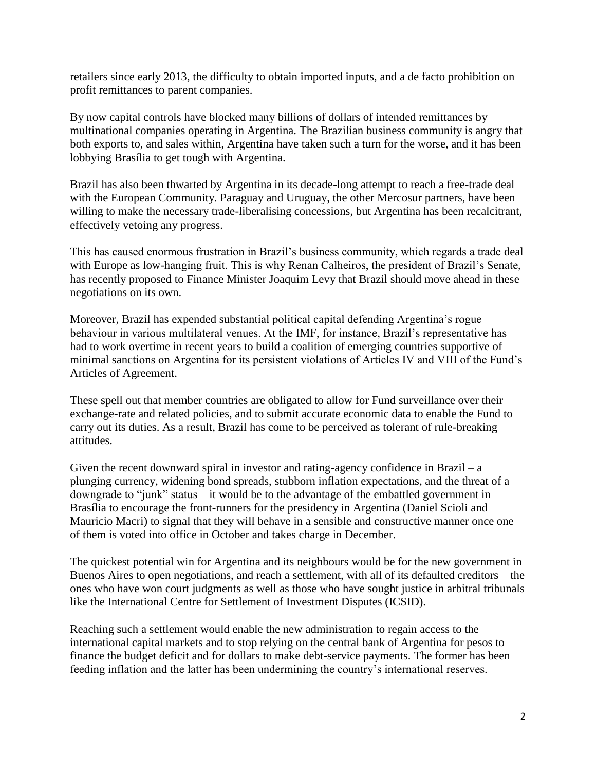retailers since early 2013, the difficulty to obtain imported inputs, and a de facto prohibition on profit remittances to parent companies.

By now capital controls have blocked many billions of dollars of intended remittances by multinational companies operating in Argentina. The Brazilian business community is angry that both exports to, and sales within, Argentina have taken such a turn for the worse, and it has been lobbying Brasília to get tough with Argentina.

Brazil has also been thwarted by Argentina in its decade-long attempt to reach a free-trade deal with the European Community. Paraguay and Uruguay, the other Mercosur partners, have been willing to make the necessary trade-liberalising concessions, but Argentina has been recalcitrant, effectively vetoing any progress.

This has caused enormous frustration in Brazil's business community, which regards a trade deal with Europe as low-hanging fruit. This is why Renan Calheiros, the president of Brazil's Senate, has recently proposed to Finance Minister Joaquim Levy that Brazil should move ahead in these negotiations on its own.

Moreover, Brazil has expended substantial political capital defending Argentina's rogue behaviour in various multilateral venues. At the IMF, for instance, Brazil's representative has had to work overtime in recent years to build a coalition of emerging countries supportive of minimal sanctions on Argentina for its persistent violations of Articles IV and VIII of the Fund's Articles of Agreement.

These spell out that member countries are obligated to allow for Fund surveillance over their exchange-rate and related policies, and to submit accurate economic data to enable the Fund to carry out its duties. As a result, Brazil has come to be perceived as tolerant of rule-breaking attitudes.

Given the recent downward spiral in investor and rating-agency confidence in Brazil – a plunging currency, widening bond spreads, stubborn inflation expectations, and the threat of a downgrade to "junk" status – it would be to the advantage of the embattled government in Brasília to encourage the front-runners for the presidency in Argentina (Daniel Scioli and Mauricio Macri) to signal that they will behave in a sensible and constructive manner once one of them is voted into office in October and takes charge in December.

The quickest potential win for Argentina and its neighbours would be for the new government in Buenos Aires to open negotiations, and reach a settlement, with all of its defaulted creditors – the ones who have won court judgments as well as those who have sought justice in arbitral tribunals like the International Centre for Settlement of Investment Disputes (ICSID).

Reaching such a settlement would enable the new administration to regain access to the international capital markets and to stop relying on the central bank of Argentina for pesos to finance the budget deficit and for dollars to make debt-service payments. The former has been feeding inflation and the latter has been undermining the country's international reserves.